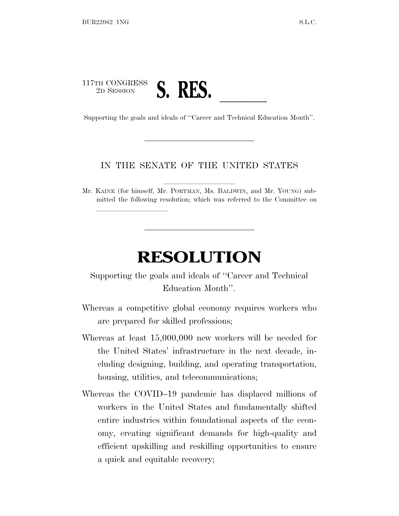## 117TH CONGRESS <sup>2D SESSION</sup><br>Supporting the goals and ideals of "Career and Technical Education Month".

lland and a state of the state of the state of the state of the state of the state of the state of the state o

## IN THE SENATE OF THE UNITED STATES

Mr. KAINE (for himself, Mr. PORTMAN, Ms. BALDWIN, and Mr. YOUNG) submitted the following resolution; which was referred to the Committee on

## **RESOLUTION**

Supporting the goals and ideals of ''Career and Technical Education Month''.

- Whereas a competitive global economy requires workers who are prepared for skilled professions;
- Whereas at least 15,000,000 new workers will be needed for the United States' infrastructure in the next decade, including designing, building, and operating transportation, housing, utilities, and telecommunications;
- Whereas the COVID–19 pandemic has displaced millions of workers in the United States and fundamentally shifted entire industries within foundational aspects of the economy, creating significant demands for high-quality and efficient upskilling and reskilling opportunities to ensure a quick and equitable recovery;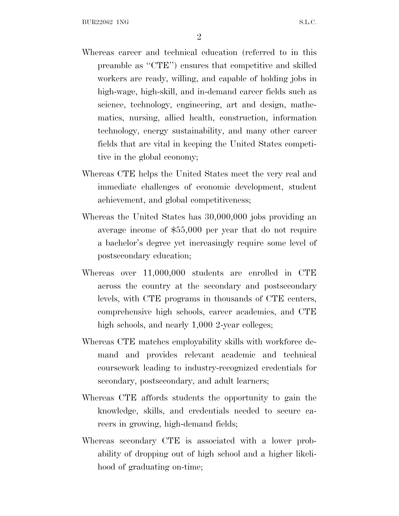- Whereas career and technical education (referred to in this preamble as ''CTE'') ensures that competitive and skilled workers are ready, willing, and capable of holding jobs in high-wage, high-skill, and in-demand career fields such as science, technology, engineering, art and design, mathematics, nursing, allied health, construction, information technology, energy sustainability, and many other career fields that are vital in keeping the United States competitive in the global economy;
- Whereas CTE helps the United States meet the very real and immediate challenges of economic development, student achievement, and global competitiveness;
- Whereas the United States has 30,000,000 jobs providing an average income of \$55,000 per year that do not require a bachelor's degree yet increasingly require some level of postsecondary education;
- Whereas over 11,000,000 students are enrolled in CTE across the country at the secondary and postsecondary levels, with CTE programs in thousands of CTE centers, comprehensive high schools, career academies, and CTE high schools, and nearly 1,000 2-year colleges;
- Whereas CTE matches employability skills with workforce demand and provides relevant academic and technical coursework leading to industry-recognized credentials for secondary, postsecondary, and adult learners;
- Whereas CTE affords students the opportunity to gain the knowledge, skills, and credentials needed to secure careers in growing, high-demand fields;
- Whereas secondary CTE is associated with a lower probability of dropping out of high school and a higher likelihood of graduating on-time;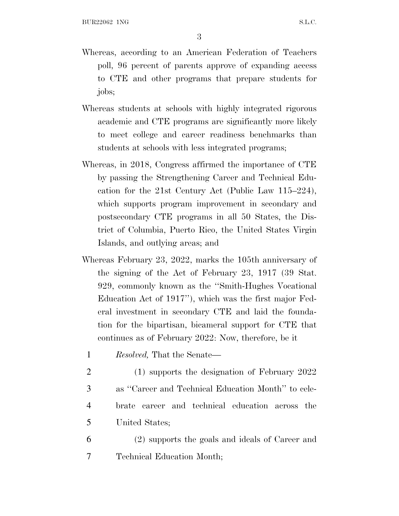3

- Whereas, according to an American Federation of Teachers poll, 96 percent of parents approve of expanding access to CTE and other programs that prepare students for jobs;
- Whereas students at schools with highly integrated rigorous academic and CTE programs are significantly more likely to meet college and career readiness benchmarks than students at schools with less integrated programs;
- Whereas, in 2018, Congress affirmed the importance of CTE by passing the Strengthening Career and Technical Education for the 21st Century Act (Public Law 115–224), which supports program improvement in secondary and postsecondary CTE programs in all 50 States, the District of Columbia, Puerto Rico, the United States Virgin Islands, and outlying areas; and
- Whereas February 23, 2022, marks the 105th anniversary of the signing of the Act of February 23, 1917 (39 Stat. 929, commonly known as the ''Smith-Hughes Vocational Education Act of 1917''), which was the first major Federal investment in secondary CTE and laid the foundation for the bipartisan, bicameral support for CTE that continues as of February 2022: Now, therefore, be it
	- 1 *Resolved,* That the Senate—
	- 2 (1) supports the designation of February 2022
	- 3 as ''Career and Technical Education Month'' to cele-
	- 4 brate career and technical education across the 5 United States;
- 6 (2) supports the goals and ideals of Career and 7 Technical Education Month;